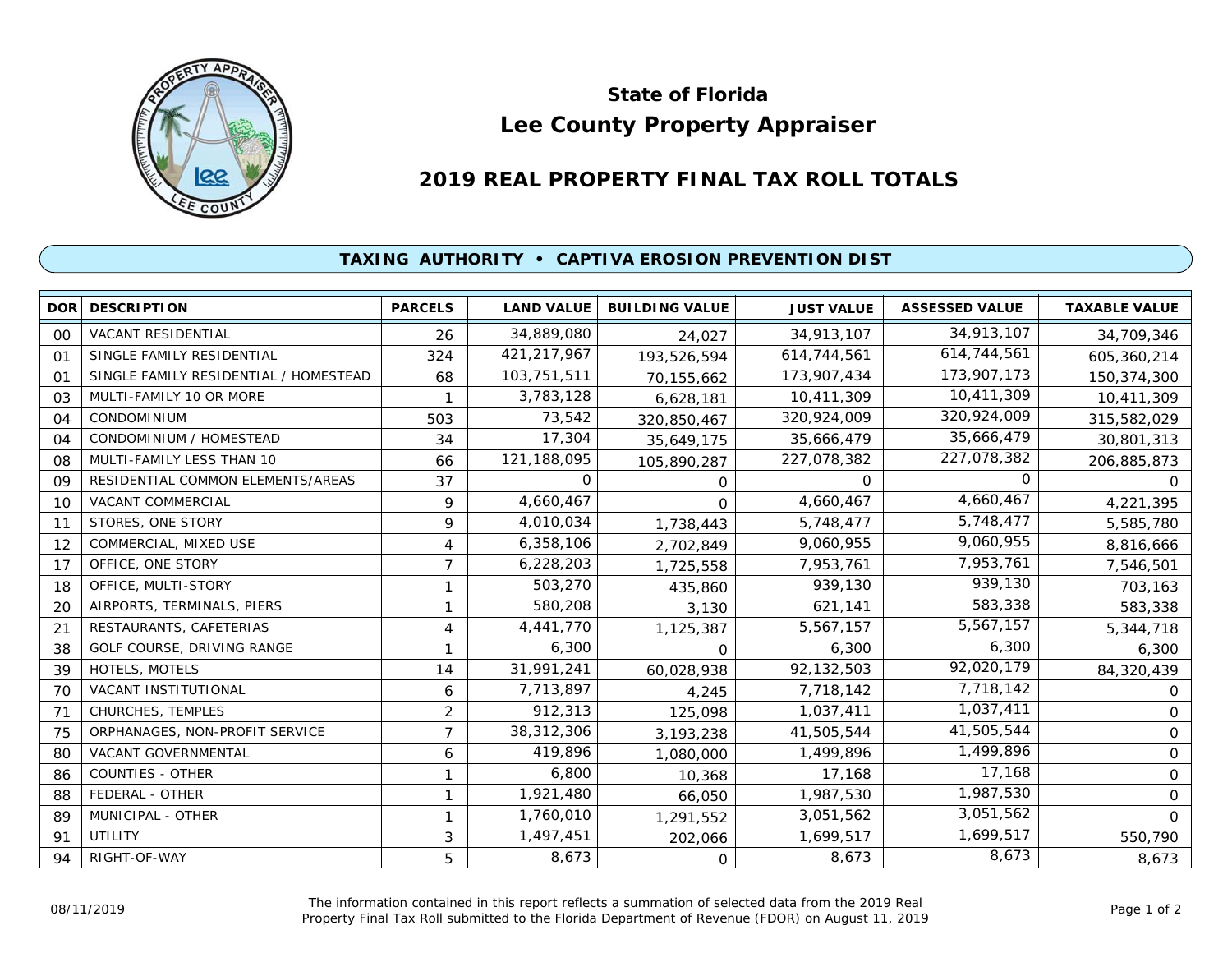

## **Lee County Property Appraiser State of Florida**

## **2019 REAL PROPERTY FINAL TAX ROLL TOTALS**

## **TAXING AUTHORITY • CAPTIVA EROSION PREVENTION DIST**

| <b>DOR</b>     | <b>DESCRIPTION</b>                    | <b>PARCELS</b> | <b>LAND VALUE</b> | <b>BUILDING VALUE</b> | <b>JUST VALUE</b> | <b>ASSESSED VALUE</b> | <b>TAXABLE VALUE</b> |
|----------------|---------------------------------------|----------------|-------------------|-----------------------|-------------------|-----------------------|----------------------|
| 00             | VACANT RESIDENTIAL                    | 26             | 34,889,080        | 24,027                | 34,913,107        | 34,913,107            | 34,709,346           |
| O <sub>1</sub> | SINGLE FAMILY RESIDENTIAL             | 324            | 421,217,967       | 193,526,594           | 614,744,561       | 614,744,561           | 605,360,214          |
| 01             | SINGLE FAMILY RESIDENTIAL / HOMESTEAD | 68             | 103,751,511       | 70,155,662            | 173,907,434       | 173,907,173           | 150,374,300          |
| 03             | MULTI-FAMILY 10 OR MORE               |                | 3,783,128         | 6,628,181             | 10,411,309        | 10,411,309            | 10,411,309           |
| 04             | <b>CONDOMINIUM</b>                    | 503            | 73,542            | 320,850,467           | 320,924,009       | 320,924,009           | 315,582,029          |
| 04             | CONDOMINIUM / HOMESTEAD               | 34             | 17,304            | 35,649,175            | 35,666,479        | 35,666,479            | 30,801,313           |
| 08             | MULTI-FAMILY LESS THAN 10             | 66             | 121,188,095       | 105,890,287           | 227,078,382       | 227,078,382           | 206,885,873          |
| 09             | RESIDENTIAL COMMON ELEMENTS/AREAS     | 37             | $\Omega$          | $\Omega$              | $\Omega$          | $\Omega$              | $\Omega$             |
| 10             | VACANT COMMERCIAL                     | 9              | 4,660,467         | $\Omega$              | 4,660,467         | 4,660,467             | 4,221,395            |
| 11             | STORES, ONE STORY                     | 9              | 4,010,034         | 1,738,443             | 5,748,477         | 5,748,477             | 5,585,780            |
| 12             | COMMERCIAL, MIXED USE                 | 4              | 6,358,106         | 2,702,849             | 9,060,955         | 9,060,955             | 8,816,666            |
| 17             | OFFICE, ONE STORY                     | $\overline{7}$ | 6,228,203         | 1,725,558             | 7,953,761         | 7,953,761             | 7,546,501            |
| 18             | OFFICE, MULTI-STORY                   | $\mathbf{1}$   | 503,270           | 435,860               | 939,130           | 939,130               | 703,163              |
| 20             | AIRPORTS, TERMINALS, PIERS            | 1              | 580,208           | 3,130                 | 621,141           | 583,338               | 583,338              |
| 21             | RESTAURANTS, CAFETERIAS               | 4              | 4,441,770         | 1,125,387             | 5,567,157         | 5,567,157             | 5,344,718            |
| 38             | GOLF COURSE, DRIVING RANGE            | 1              | 6,300             | $\Omega$              | 6,300             | 6,300                 | 6,300                |
| 39             | HOTELS, MOTELS                        | 14             | 31,991,241        | 60,028,938            | 92,132,503        | 92,020,179            | 84,320,439           |
| 70             | VACANT INSTITUTIONAL                  | 6              | 7,713,897         | 4,245                 | 7,718,142         | 7,718,142             | $\mathbf{O}$         |
| 71             | CHURCHES, TEMPLES                     | $\overline{2}$ | 912,313           | 125,098               | 1,037,411         | 1,037,411             | 0                    |
| 75             | ORPHANAGES, NON-PROFIT SERVICE        | 7              | 38,312,306        | 3,193,238             | 41,505,544        | 41,505,544            | 0                    |
| 80             | VACANT GOVERNMENTAL                   | 6              | 419,896           | 1,080,000             | 1,499,896         | 1,499,896             | 0                    |
| 86             | <b>COUNTIES - OTHER</b>               | $\mathbf{1}$   | 6,800             | 10,368                | 17,168            | 17,168                | $\Omega$             |
| 88             | FEDERAL - OTHER                       | 1              | 1,921,480         | 66,050                | 1,987,530         | 1,987,530             | $\mathbf{O}$         |
| 89             | MUNICIPAL - OTHER                     | 1              | 1,760,010         | 1,291,552             | 3,051,562         | 3,051,562             | $\Omega$             |
| 91             | UTILITY                               | 3              | 1,497,451         | 202,066               | 1,699,517         | 1,699,517             | 550,790              |
| 94             | RIGHT-OF-WAY                          | 5              | 8,673             | $\Omega$              | 8,673             | 8,673                 | 8,673                |